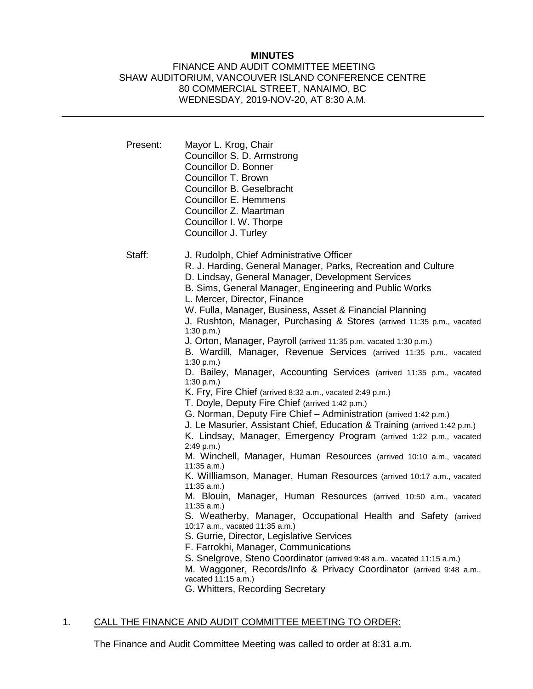#### **MINUTES**

### FINANCE AND AUDIT COMMITTEE MEETING SHAW AUDITORIUM, VANCOUVER ISLAND CONFERENCE CENTRE 80 COMMERCIAL STREET, NANAIMO, BC WEDNESDAY, 2019-NOV-20, AT 8:30 A.M.

| Present: | Mayor L. Krog, Chair<br>Councillor S. D. Armstrong<br>Councillor D. Bonner<br>Councillor T. Brown<br>Councillor B. Geselbracht<br>Councillor E. Hemmens<br>Councillor Z. Maartman<br>Councillor I. W. Thorpe<br>Councillor J. Turley                                                                                                                                                                                                                                                                                                                                                                                                                                                                                                                                                                                                                                                                                                                                                                                                                                                                                                                                                                                                                                                                                                                                                                                                                                                                                                                                                                                                                                                |
|----------|-------------------------------------------------------------------------------------------------------------------------------------------------------------------------------------------------------------------------------------------------------------------------------------------------------------------------------------------------------------------------------------------------------------------------------------------------------------------------------------------------------------------------------------------------------------------------------------------------------------------------------------------------------------------------------------------------------------------------------------------------------------------------------------------------------------------------------------------------------------------------------------------------------------------------------------------------------------------------------------------------------------------------------------------------------------------------------------------------------------------------------------------------------------------------------------------------------------------------------------------------------------------------------------------------------------------------------------------------------------------------------------------------------------------------------------------------------------------------------------------------------------------------------------------------------------------------------------------------------------------------------------------------------------------------------------|
| Staff:   | J. Rudolph, Chief Administrative Officer<br>R. J. Harding, General Manager, Parks, Recreation and Culture<br>D. Lindsay, General Manager, Development Services<br>B. Sims, General Manager, Engineering and Public Works<br>L. Mercer, Director, Finance<br>W. Fulla, Manager, Business, Asset & Financial Planning<br>J. Rushton, Manager, Purchasing & Stores (arrived 11:35 p.m., vacated<br>1:30 p.m.<br>J. Orton, Manager, Payroll (arrived 11:35 p.m. vacated 1:30 p.m.)<br>B. Wardill, Manager, Revenue Services (arrived 11:35 p.m., vacated<br>1:30 p.m.<br>D. Bailey, Manager, Accounting Services (arrived 11:35 p.m., vacated<br>1:30 p.m.<br>K. Fry, Fire Chief (arrived 8:32 a.m., vacated 2:49 p.m.)<br>T. Doyle, Deputy Fire Chief (arrived 1:42 p.m.)<br>G. Norman, Deputy Fire Chief - Administration (arrived 1:42 p.m.)<br>J. Le Masurier, Assistant Chief, Education & Training (arrived 1:42 p.m.)<br>K. Lindsay, Manager, Emergency Program (arrived 1:22 p.m., vacated<br>2:49 p.m.)<br>M. Winchell, Manager, Human Resources (arrived 10:10 a.m., vacated<br>$11:35$ a.m.)<br>K. Willliamson, Manager, Human Resources (arrived 10:17 a.m., vacated<br>11:35 a.m.<br>M. Blouin, Manager, Human Resources (arrived 10:50 a.m., vacated<br>11:35 a.m.<br>S. Weatherby, Manager, Occupational Health and Safety (arrived<br>10:17 a.m., vacated 11:35 a.m.)<br>S. Gurrie, Director, Legislative Services<br>F. Farrokhi, Manager, Communications<br>S. Snelgrove, Steno Coordinator (arrived 9:48 a.m., vacated 11:15 a.m.)<br>M. Waggoner, Records/Info & Privacy Coordinator (arrived 9:48 a.m.,<br>vacated 11:15 a.m.)<br>G. Whitters, Recording Secretary |

# 1. CALL THE FINANCE AND AUDIT COMMITTEE MEETING TO ORDER:

The Finance and Audit Committee Meeting was called to order at 8:31 a.m.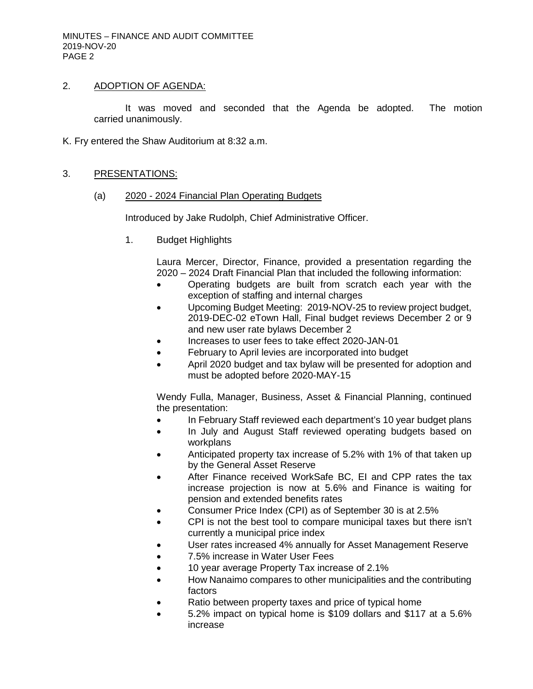## 2. ADOPTION OF AGENDA:

It was moved and seconded that the Agenda be adopted. The motion carried unanimously.

K. Fry entered the Shaw Auditorium at 8:32 a.m.

#### 3. PRESENTATIONS:

(a) 2020 - 2024 Financial Plan Operating Budgets

Introduced by Jake Rudolph, Chief Administrative Officer.

1. Budget Highlights

Laura Mercer, Director, Finance, provided a presentation regarding the 2020 – 2024 Draft Financial Plan that included the following information:

- Operating budgets are built from scratch each year with the exception of staffing and internal charges
- Upcoming Budget Meeting: 2019-NOV-25 to review project budget, 2019-DEC-02 eTown Hall, Final budget reviews December 2 or 9 and new user rate bylaws December 2
- Increases to user fees to take effect 2020-JAN-01
- February to April levies are incorporated into budget
- April 2020 budget and tax bylaw will be presented for adoption and must be adopted before 2020-MAY-15

Wendy Fulla, Manager, Business, Asset & Financial Planning, continued the presentation:

- In February Staff reviewed each department's 10 year budget plans
- In July and August Staff reviewed operating budgets based on workplans
- Anticipated property tax increase of 5.2% with 1% of that taken up by the General Asset Reserve
- After Finance received WorkSafe BC, EI and CPP rates the tax increase projection is now at 5.6% and Finance is waiting for pension and extended benefits rates
- Consumer Price Index (CPI) as of September 30 is at 2.5%
- CPI is not the best tool to compare municipal taxes but there isn't currently a municipal price index
- User rates increased 4% annually for Asset Management Reserve
- 7.5% increase in Water User Fees
- 10 year average Property Tax increase of 2.1%
- How Nanaimo compares to other municipalities and the contributing factors
- Ratio between property taxes and price of typical home
- 5.2% impact on typical home is \$109 dollars and \$117 at a 5.6% increase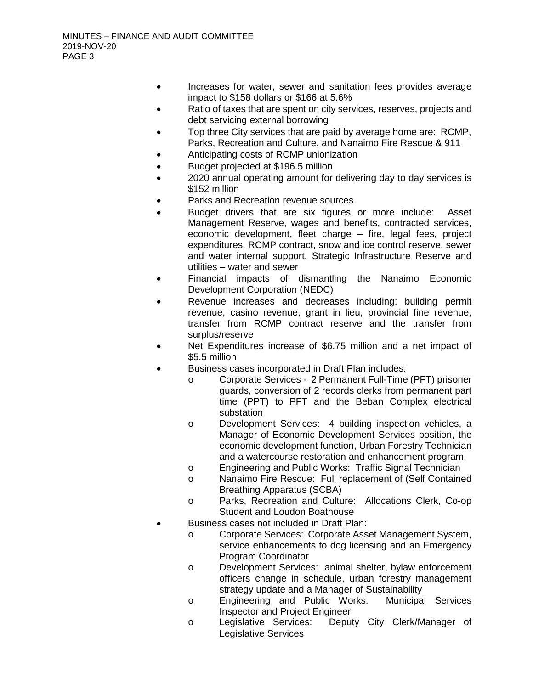- Increases for water, sewer and sanitation fees provides average impact to \$158 dollars or \$166 at 5.6%
- Ratio of taxes that are spent on city services, reserves, projects and debt servicing external borrowing
- Top three City services that are paid by average home are: RCMP, Parks, Recreation and Culture, and Nanaimo Fire Rescue & 911
- Anticipating costs of RCMP unionization
- Budget projected at \$196.5 million
- 2020 annual operating amount for delivering day to day services is \$152 million
- Parks and Recreation revenue sources
- Budget drivers that are six figures or more include: Asset Management Reserve, wages and benefits, contracted services, economic development, fleet charge – fire, legal fees, project expenditures, RCMP contract, snow and ice control reserve, sewer and water internal support, Strategic Infrastructure Reserve and utilities – water and sewer
- Financial impacts of dismantling the Nanaimo Economic Development Corporation (NEDC)
- Revenue increases and decreases including: building permit revenue, casino revenue, grant in lieu, provincial fine revenue, transfer from RCMP contract reserve and the transfer from surplus/reserve
- Net Expenditures increase of \$6.75 million and a net impact of \$5.5 million
- Business cases incorporated in Draft Plan includes:
	- o Corporate Services 2 Permanent Full-Time (PFT) prisoner guards, conversion of 2 records clerks from permanent part time (PPT) to PFT and the Beban Complex electrical substation
	- o Development Services: 4 building inspection vehicles, a Manager of Economic Development Services position, the economic development function, Urban Forestry Technician and a watercourse restoration and enhancement program,
	- o Engineering and Public Works: Traffic Signal Technician
	- o Nanaimo Fire Rescue: Full replacement of (Self Contained Breathing Apparatus (SCBA)
	- o Parks, Recreation and Culture: Allocations Clerk, Co-op Student and Loudon Boathouse
- Business cases not included in Draft Plan:
	- o Corporate Services: Corporate Asset Management System, service enhancements to dog licensing and an Emergency Program Coordinator
	- o Development Services: animal shelter, bylaw enforcement officers change in schedule, urban forestry management strategy update and a Manager of Sustainability
	- o Engineering and Public Works: Municipal Services Inspector and Project Engineer
	- o Legislative Services: Deputy City Clerk/Manager of Legislative Services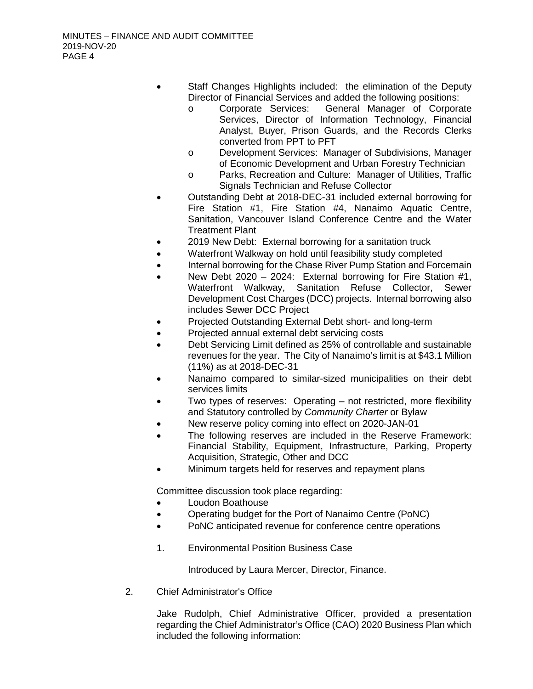- Staff Changes Highlights included: the elimination of the Deputy Director of Financial Services and added the following positions:
	- o Corporate Services: General Manager of Corporate Services, Director of Information Technology, Financial Analyst, Buyer, Prison Guards, and the Records Clerks converted from PPT to PFT
	- o Development Services: Manager of Subdivisions, Manager of Economic Development and Urban Forestry Technician
	- o Parks, Recreation and Culture: Manager of Utilities, Traffic Signals Technician and Refuse Collector
- Outstanding Debt at 2018-DEC-31 included external borrowing for Fire Station #1, Fire Station #4, Nanaimo Aquatic Centre, Sanitation, Vancouver Island Conference Centre and the Water Treatment Plant
- 2019 New Debt: External borrowing for a sanitation truck
- Waterfront Walkway on hold until feasibility study completed
- Internal borrowing for the Chase River Pump Station and Forcemain
- New Debt 2020 2024: External borrowing for Fire Station #1, Waterfront Walkway, Sanitation Refuse Collector, Sewer Development Cost Charges (DCC) projects. Internal borrowing also includes Sewer DCC Project
- Projected Outstanding External Debt short- and long-term
- Projected annual external debt servicing costs
- Debt Servicing Limit defined as 25% of controllable and sustainable revenues for the year. The City of Nanaimo's limit is at \$43.1 Million (11%) as at 2018-DEC-31
- Nanaimo compared to similar-sized municipalities on their debt services limits
- Two types of reserves: Operating not restricted, more flexibility and Statutory controlled by *Community Charter* or Bylaw
- New reserve policy coming into effect on 2020-JAN-01
- The following reserves are included in the Reserve Framework: Financial Stability, Equipment, Infrastructure, Parking, Property Acquisition, Strategic, Other and DCC
- Minimum targets held for reserves and repayment plans

- Loudon Boathouse
- Operating budget for the Port of Nanaimo Centre (PoNC)
- PoNC anticipated revenue for conference centre operations
- 1. Environmental Position Business Case

Introduced by Laura Mercer, Director, Finance.

2. Chief Administrator's Office

Jake Rudolph, Chief Administrative Officer, provided a presentation regarding the Chief Administrator's Office (CAO) 2020 Business Plan which included the following information: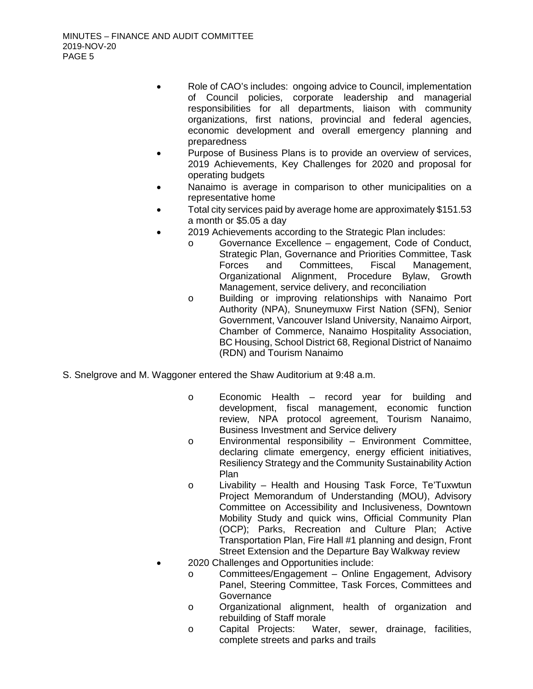- Role of CAO's includes: ongoing advice to Council, implementation of Council policies, corporate leadership and managerial responsibilities for all departments, liaison with community organizations, first nations, provincial and federal agencies, economic development and overall emergency planning and preparedness
- Purpose of Business Plans is to provide an overview of services, 2019 Achievements, Key Challenges for 2020 and proposal for operating budgets
- Nanaimo is average in comparison to other municipalities on a representative home
- Total city services paid by average home are approximately \$151.53 a month or \$5.05 a day
- 2019 Achievements according to the Strategic Plan includes:
	- o Governance Excellence engagement, Code of Conduct, Strategic Plan, Governance and Priorities Committee, Task<br>Forces and Committees. Fiscal Management. and Committees, Fiscal Management, Organizational Alignment, Procedure Bylaw, Growth Management, service delivery, and reconciliation
	- o Building or improving relationships with Nanaimo Port Authority (NPA), Snuneymuxw First Nation (SFN), Senior Government, Vancouver Island University, Nanaimo Airport, Chamber of Commerce, Nanaimo Hospitality Association, BC Housing, School District 68, Regional District of Nanaimo (RDN) and Tourism Nanaimo
- S. Snelgrove and M. Waggoner entered the Shaw Auditorium at 9:48 a.m.
	- o Economic Health record year for building and development, fiscal management, economic function review, NPA protocol agreement, Tourism Nanaimo, Business Investment and Service delivery
	- o Environmental responsibility Environment Committee, declaring climate emergency, energy efficient initiatives, Resiliency Strategy and the Community Sustainability Action Plan
	- o Livability Health and Housing Task Force, Te'Tuxwtun Project Memorandum of Understanding (MOU), Advisory Committee on Accessibility and Inclusiveness, Downtown Mobility Study and quick wins, Official Community Plan (OCP); Parks, Recreation and Culture Plan; Active Transportation Plan, Fire Hall #1 planning and design, Front Street Extension and the Departure Bay Walkway review
	- 2020 Challenges and Opportunities include:
		- o Committees/Engagement Online Engagement, Advisory Panel, Steering Committee, Task Forces, Committees and **Governance**
		- o Organizational alignment, health of organization and rebuilding of Staff morale
		- o Capital Projects: Water, sewer, drainage, facilities, complete streets and parks and trails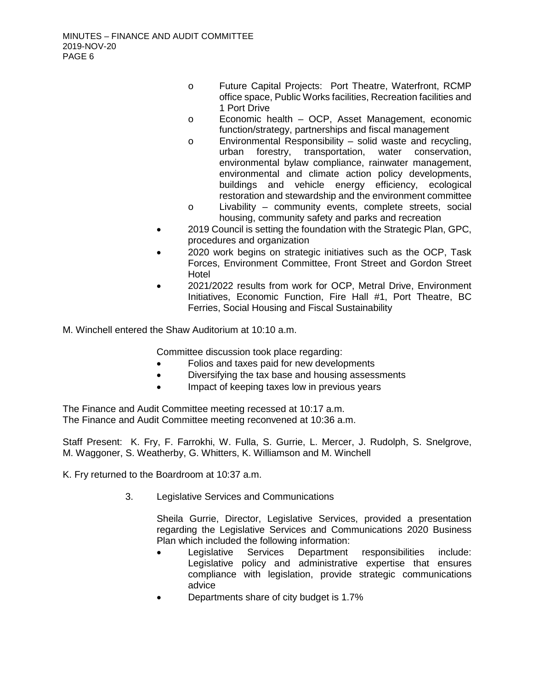- o Future Capital Projects: Port Theatre, Waterfront, RCMP office space, Public Works facilities, Recreation facilities and 1 Port Drive
- o Economic health OCP, Asset Management, economic function/strategy, partnerships and fiscal management
- o Environmental Responsibility solid waste and recycling, water conservation, environmental bylaw compliance, rainwater management, environmental and climate action policy developments, buildings and vehicle energy efficiency, ecological restoration and stewardship and the environment committee
- o Livability community events, complete streets, social housing, community safety and parks and recreation
- 2019 Council is setting the foundation with the Strategic Plan, GPC, procedures and organization
- 2020 work begins on strategic initiatives such as the OCP, Task Forces, Environment Committee, Front Street and Gordon Street Hotel
- 2021/2022 results from work for OCP, Metral Drive, Environment Initiatives, Economic Function, Fire Hall #1, Port Theatre, BC Ferries, Social Housing and Fiscal Sustainability

M. Winchell entered the Shaw Auditorium at 10:10 a.m.

Committee discussion took place regarding:

- Folios and taxes paid for new developments
- Diversifying the tax base and housing assessments
- Impact of keeping taxes low in previous years

The Finance and Audit Committee meeting recessed at 10:17 a.m. The Finance and Audit Committee meeting reconvened at 10:36 a.m.

Staff Present: K. Fry, F. Farrokhi, W. Fulla, S. Gurrie, L. Mercer, J. Rudolph, S. Snelgrove, M. Waggoner, S. Weatherby, G. Whitters, K. Williamson and M. Winchell

K. Fry returned to the Boardroom at 10:37 a.m.

3. Legislative Services and Communications

Sheila Gurrie, Director, Legislative Services, provided a presentation regarding the Legislative Services and Communications 2020 Business Plan which included the following information:

- Legislative Services Department responsibilities include: Legislative policy and administrative expertise that ensures compliance with legislation, provide strategic communications advice
- Departments share of city budget is 1.7%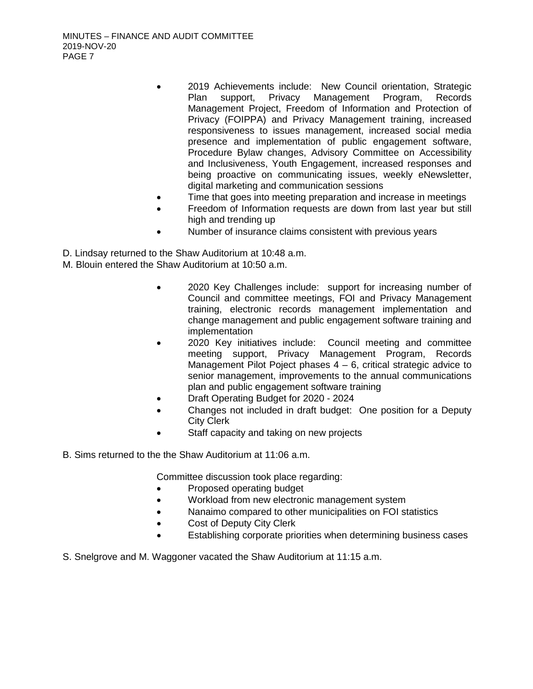- 2019 Achievements include: New Council orientation, Strategic Plan support, Privacy Management Program, Records Management Project, Freedom of Information and Protection of Privacy (FOIPPA) and Privacy Management training, increased responsiveness to issues management, increased social media presence and implementation of public engagement software, Procedure Bylaw changes, Advisory Committee on Accessibility and Inclusiveness, Youth Engagement, increased responses and being proactive on communicating issues, weekly eNewsletter, digital marketing and communication sessions
- Time that goes into meeting preparation and increase in meetings
- Freedom of Information requests are down from last year but still high and trending up
- Number of insurance claims consistent with previous years
- D. Lindsay returned to the Shaw Auditorium at 10:48 a.m.
- M. Blouin entered the Shaw Auditorium at 10:50 a.m.
	- 2020 Key Challenges include: support for increasing number of Council and committee meetings, FOI and Privacy Management training, electronic records management implementation and change management and public engagement software training and implementation
	- 2020 Key initiatives include: Council meeting and committee meeting support, Privacy Management Program, Records Management Pilot Poject phases 4 – 6, critical strategic advice to senior management, improvements to the annual communications plan and public engagement software training
	- Draft Operating Budget for 2020 2024
	- Changes not included in draft budget: One position for a Deputy City Clerk
	- Staff capacity and taking on new projects
- B. Sims returned to the the Shaw Auditorium at 11:06 a.m.

- Proposed operating budget
- Workload from new electronic management system
- Nanaimo compared to other municipalities on FOI statistics
- Cost of Deputy City Clerk
- Establishing corporate priorities when determining business cases
- S. Snelgrove and M. Waggoner vacated the Shaw Auditorium at 11:15 a.m.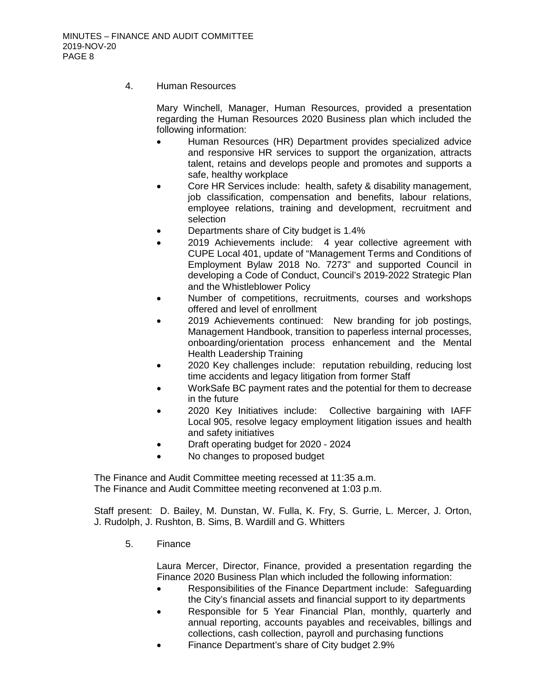4. Human Resources

Mary Winchell, Manager, Human Resources, provided a presentation regarding the Human Resources 2020 Business plan which included the following information:

- Human Resources (HR) Department provides specialized advice and responsive HR services to support the organization, attracts talent, retains and develops people and promotes and supports a safe, healthy workplace
- Core HR Services include: health, safety & disability management, job classification, compensation and benefits, labour relations, employee relations, training and development, recruitment and selection
- Departments share of City budget is 1.4%
- 2019 Achievements include: 4 year collective agreement with CUPE Local 401, update of "Management Terms and Conditions of Employment Bylaw 2018 No. 7273" and supported Council in developing a Code of Conduct, Council's 2019-2022 Strategic Plan and the Whistleblower Policy
- Number of competitions, recruitments, courses and workshops offered and level of enrollment
- 2019 Achievements continued: New branding for job postings, Management Handbook, transition to paperless internal processes, onboarding/orientation process enhancement and the Mental Health Leadership Training
- 2020 Key challenges include: reputation rebuilding, reducing lost time accidents and legacy litigation from former Staff
- WorkSafe BC payment rates and the potential for them to decrease in the future
- 2020 Key Initiatives include: Collective bargaining with IAFF Local 905, resolve legacy employment litigation issues and health and safety initiatives
- Draft operating budget for 2020 2024
- No changes to proposed budget

The Finance and Audit Committee meeting recessed at 11:35 a.m. The Finance and Audit Committee meeting reconvened at 1:03 p.m.

Staff present: D. Bailey, M. Dunstan, W. Fulla, K. Fry, S. Gurrie, L. Mercer, J. Orton, J. Rudolph, J. Rushton, B. Sims, B. Wardill and G. Whitters

5. Finance

Laura Mercer, Director, Finance, provided a presentation regarding the Finance 2020 Business Plan which included the following information:

- Responsibilities of the Finance Department include: Safeguarding the City's financial assets and financial support to ity departments
- Responsible for 5 Year Financial Plan, monthly, quarterly and annual reporting, accounts payables and receivables, billings and collections, cash collection, payroll and purchasing functions
- Finance Department's share of City budget 2.9%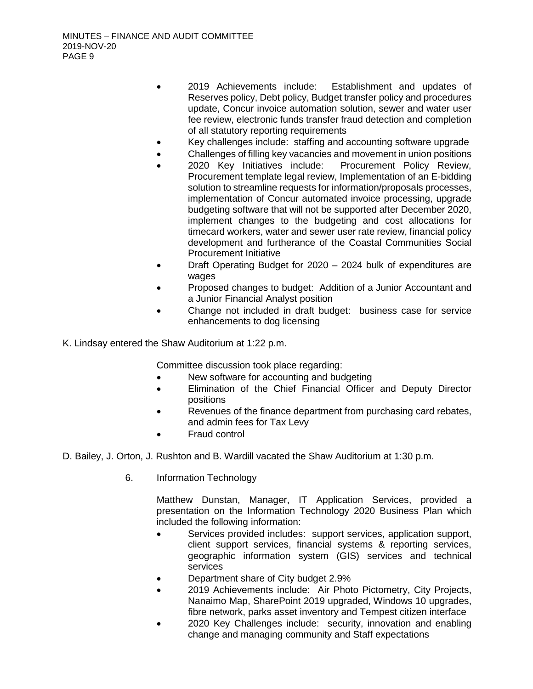- 2019 Achievements include: Establishment and updates of Reserves policy, Debt policy, Budget transfer policy and procedures update, Concur invoice automation solution, sewer and water user fee review, electronic funds transfer fraud detection and completion of all statutory reporting requirements
- Key challenges include: staffing and accounting software upgrade
- Challenges of filling key vacancies and movement in union positions
- 2020 Key Initiatives include: Procurement Policy Review, Procurement template legal review, Implementation of an E-bidding solution to streamline requests for information/proposals processes, implementation of Concur automated invoice processing, upgrade budgeting software that will not be supported after December 2020, implement changes to the budgeting and cost allocations for timecard workers, water and sewer user rate review, financial policy development and furtherance of the Coastal Communities Social Procurement Initiative
- Draft Operating Budget for 2020 2024 bulk of expenditures are wages
- Proposed changes to budget: Addition of a Junior Accountant and a Junior Financial Analyst position
- Change not included in draft budget: business case for service enhancements to dog licensing
- K. Lindsay entered the Shaw Auditorium at 1:22 p.m.

- New software for accounting and budgeting
- Elimination of the Chief Financial Officer and Deputy Director positions
- Revenues of the finance department from purchasing card rebates, and admin fees for Tax Levy
- Fraud control
- D. Bailey, J. Orton, J. Rushton and B. Wardill vacated the Shaw Auditorium at 1:30 p.m.
	- 6. Information Technology

Matthew Dunstan, Manager, IT Application Services, provided a presentation on the Information Technology 2020 Business Plan which included the following information:

- Services provided includes: support services, application support, client support services, financial systems & reporting services, geographic information system (GIS) services and technical services
- Department share of City budget 2.9%
- 2019 Achievements include: Air Photo Pictometry, City Projects, Nanaimo Map, SharePoint 2019 upgraded, Windows 10 upgrades, fibre network, parks asset inventory and Tempest citizen interface
- 2020 Key Challenges include: security, innovation and enabling change and managing community and Staff expectations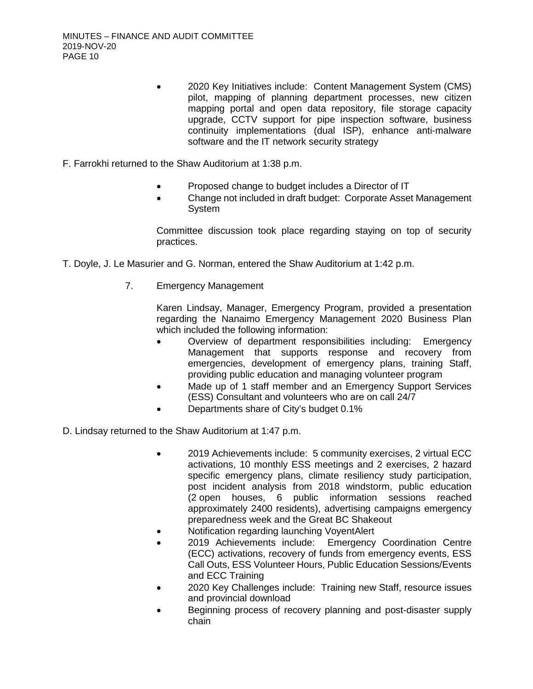- 2020 Key Initiatives include: Content Management System (CMS) pilot, mapping of planning department processes, new citizen mapping portal and open data repository, file storage capacity upgrade, CCTV support for pipe inspection software, business continuity implementations (dual ISP), enhance anti-malware software and the IT network security strategy
- F. Farrokhi returned to the Shaw Auditorium at 1:38 p.m.
	- Proposed change to budget includes a Director of IT
	- Change not included in draft budget: Corporate Asset Management **System**

Committee discussion took place regarding staying on top of security practices.

- T. Doyle, J. Le Masurier and G. Norman, entered the Shaw Auditorium at 1:42 p.m.
	- 7. Emergency Management

Karen Lindsay, Manager, Emergency Program, provided a presentation regarding the Nanaimo Emergency Management 2020 Business Plan which included the following information:

- Overview of department responsibilities including: Emergency Management that supports response and recovery from emergencies, development of emergency plans, training Staff, providing public education and managing volunteer program
- Made up of 1 staff member and an Emergency Support Services (ESS) Consultant and volunteers who are on call 24/7
- Departments share of City's budget 0.1%
- D. Lindsay returned to the Shaw Auditorium at 1:47 p.m.
	- 2019 Achievements include: 5 community exercises, 2 virtual ECC activations, 10 monthly ESS meetings and 2 exercises, 2 hazard specific emergency plans, climate resiliency study participation, post incident analysis from 2018 windstorm, public education (2 open houses, 6 public information sessions reached approximately 2400 residents), advertising campaigns emergency preparedness week and the Great BC Shakeout
	- Notification regarding launching VoyentAlert
	- 2019 Achievements include: Emergency Coordination Centre (ECC) activations, recovery of funds from emergency events, ESS Call Outs, ESS Volunteer Hours, Public Education Sessions/Events and ECC Training
	- 2020 Key Challenges include: Training new Staff, resource issues and provincial download
	- Beginning process of recovery planning and post-disaster supply chain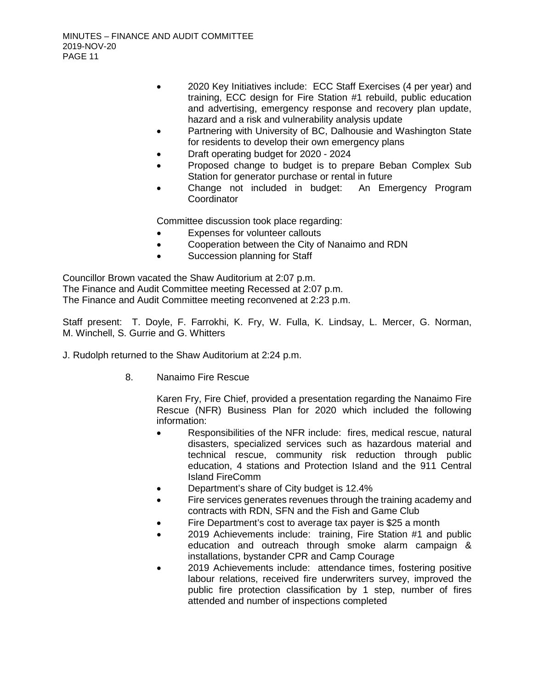- 2020 Key Initiatives include: ECC Staff Exercises (4 per year) and training, ECC design for Fire Station #1 rebuild, public education and advertising, emergency response and recovery plan update, hazard and a risk and vulnerability analysis update
- Partnering with University of BC, Dalhousie and Washington State for residents to develop their own emergency plans
- Draft operating budget for 2020 2024
- Proposed change to budget is to prepare Beban Complex Sub Station for generator purchase or rental in future
- Change not included in budget: An Emergency Program **Coordinator**

- Expenses for volunteer callouts
- Cooperation between the City of Nanaimo and RDN
- Succession planning for Staff

Councillor Brown vacated the Shaw Auditorium at 2:07 p.m. The Finance and Audit Committee meeting Recessed at 2:07 p.m. The Finance and Audit Committee meeting reconvened at 2:23 p.m.

Staff present: T. Doyle, F. Farrokhi, K. Fry, W. Fulla, K. Lindsay, L. Mercer, G. Norman, M. Winchell, S. Gurrie and G. Whitters

J. Rudolph returned to the Shaw Auditorium at 2:24 p.m.

8. Nanaimo Fire Rescue

Karen Fry, Fire Chief, provided a presentation regarding the Nanaimo Fire Rescue (NFR) Business Plan for 2020 which included the following information:

- Responsibilities of the NFR include: fires, medical rescue, natural disasters, specialized services such as hazardous material and technical rescue, community risk reduction through public education, 4 stations and Protection Island and the 911 Central Island FireComm
- Department's share of City budget is 12.4%
- Fire services generates revenues through the training academy and contracts with RDN, SFN and the Fish and Game Club
- Fire Department's cost to average tax payer is \$25 a month
- 2019 Achievements include: training, Fire Station #1 and public education and outreach through smoke alarm campaign & installations, bystander CPR and Camp Courage
- 2019 Achievements include: attendance times, fostering positive labour relations, received fire underwriters survey, improved the public fire protection classification by 1 step, number of fires attended and number of inspections completed